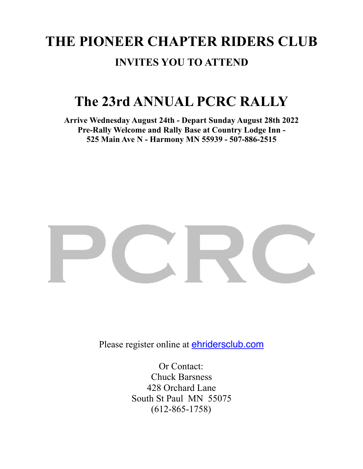# **THE PIONEER CHAPTER RIDERS CLUB INVITES YOU TO ATTEND**

## **The 23rd ANNUAL PCRC RALLY**

**Arrive Wednesday August 24th - Depart Sunday August 28th 2022 Pre-Rally Welcome and Rally Base at Country Lodge Inn - 525 Main Ave N - Harmony MN 55939 - 507-886-2515** 



Please register online at **[ehridersclub.com](http://ehridersclub.com)** 

Or Contact: Chuck Barsness 428 Orchard Lane South St Paul MN 55075 (612-865-1758)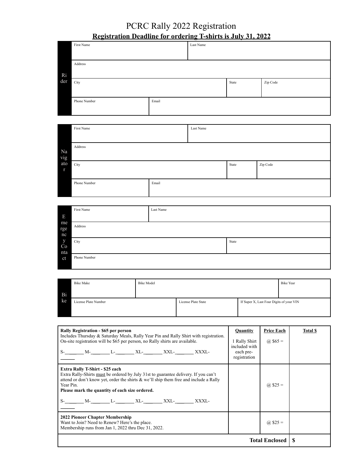### PCRC Rally 2022 Registration **Registration Deadline for ordering T-shirts is July 31, 2022**

|     | First Name   |       | Last Name |          |  |
|-----|--------------|-------|-----------|----------|--|
|     |              |       |           |          |  |
|     | Address      |       |           |          |  |
| Ri  |              |       |           |          |  |
| der | City         |       | State     | Zip Code |  |
|     |              |       |           |          |  |
|     | Phone Number | Email |           |          |  |
|     |              |       |           |          |  |

|              | First Name   |       | Last Name |       |          |  |
|--------------|--------------|-------|-----------|-------|----------|--|
|              |              |       |           |       |          |  |
| Na           | Address      |       |           |       |          |  |
| vig          |              |       |           |       |          |  |
| ato          | City         |       |           | State | Zip Code |  |
| $\mathbf{r}$ |              |       |           |       |          |  |
|              |              |       |           |       |          |  |
|              | Phone Number | Email |           |       |          |  |
|              |              |       |           |       |          |  |

|                 | First Name   | Last Name |       |
|-----------------|--------------|-----------|-------|
| Ε               |              |           |       |
| me<br>rge<br>nc | Address      |           |       |
| y<br>Co<br>nta  | City         |           | State |
| ct              | Phone Number |           |       |

|    | <b>Bike Make</b>     | <b>Bike Model</b> |                     |                                          | <b>Bike Year</b> |
|----|----------------------|-------------------|---------------------|------------------------------------------|------------------|
| Bi |                      |                   |                     |                                          |                  |
| ke | License Plate Number |                   | License Plate State | If Super X, Last Four Digits of your VIN |                  |
|    |                      |                   |                     |                                          |                  |

| Rally Registration - \$65 per person<br>Includes Thursday & Saturday Meals, Rally Year Pin and Rally Shirt with registration.<br>On-site registration will be \$65 per person, no Rally shirts are available.<br>S-________ M-_________ L-________ XL-________ XXL-________ XXXL-                                                                         | Quantity<br>1 Rally Shirt<br>included with<br>each pre-<br>registration | <b>Price Each</b><br>(a) $$65 =$ | <b>Total \$</b> |
|-----------------------------------------------------------------------------------------------------------------------------------------------------------------------------------------------------------------------------------------------------------------------------------------------------------------------------------------------------------|-------------------------------------------------------------------------|----------------------------------|-----------------|
| Extra Rally T-Shirt - \$25 each<br>Extra Rally-Shirts must be ordered by July 31st to guarantee delivery. If you can't<br>attend or don't know yet, order the shirts $\&$ we'll ship them free and include a Rally<br>Year Pin.<br>Please mark the quantity of each size ordered.<br>S-________ M-__________ L-_________ XL-_________ XXL-_________ XXXL- |                                                                         | (a) $$25 =$                      |                 |
| 2022 Pioneer Chapter Membership<br>Want to Join? Need to Renew? Here's the place.<br>Membership runs from Jan 1, 2022 thru Dec 31, 2022.                                                                                                                                                                                                                  |                                                                         | (a) $$25 =$                      |                 |
|                                                                                                                                                                                                                                                                                                                                                           |                                                                         | <b>Total Enclosed</b>            |                 |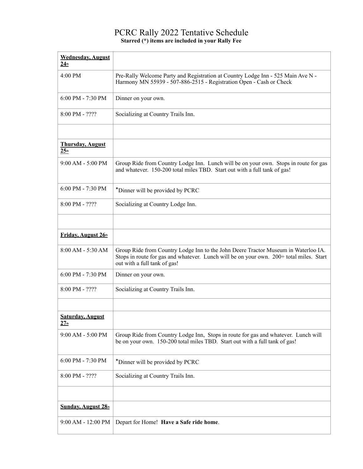#### PCRC Rally 2022 Tentative Schedule **Starred (\*) items are included in your Rally Fee**

| <b>Wednesday, August</b><br>24 <sub>th</sub> |                                                                                                                                                                                                               |
|----------------------------------------------|---------------------------------------------------------------------------------------------------------------------------------------------------------------------------------------------------------------|
| 4:00 PM                                      | Pre-Rally Welcome Party and Registration at Country Lodge Inn - 525 Main Ave N -<br>Harmony MN 55939 - 507-886-2515 - Registration Open - Cash or Check                                                       |
| 6:00 PM - 7:30 PM                            | Dinner on your own.                                                                                                                                                                                           |
| 8:00 PM - ????                               | Socializing at Country Trails Inn.                                                                                                                                                                            |
|                                              |                                                                                                                                                                                                               |
| <b>Thursday, August</b><br>25 <sub>th</sub>  |                                                                                                                                                                                                               |
| 9:00 AM - 5:00 PM                            | Group Ride from Country Lodge Inn. Lunch will be on your own. Stops in route for gas<br>and whatever. 150-200 total miles TBD. Start out with a full tank of gas!                                             |
| 6:00 PM - 7:30 PM                            | *Dinner will be provided by PCRC                                                                                                                                                                              |
| $8:00$ PM - $2222$                           | Socializing at Country Lodge Inn.                                                                                                                                                                             |
|                                              |                                                                                                                                                                                                               |
| Friday, August 26th                          |                                                                                                                                                                                                               |
| 8:00 AM - 5:30 AM                            | Group Ride from Country Lodge Inn to the John Deere Tractor Museum in Waterloo IA.<br>Stops in route for gas and whatever. Lunch will be on your own. 200+ total miles. Start<br>out with a full tank of gas! |
| 6:00 PM - 7:30 PM                            | Dinner on your own.                                                                                                                                                                                           |
| $8:00$ PM - $2222$                           | Socializing at Country Trails Inn.                                                                                                                                                                            |
|                                              |                                                                                                                                                                                                               |
| <b>Saturday, August</b><br>27 <sub>th</sub>  |                                                                                                                                                                                                               |
| 9:00 AM - 5:00 PM                            | Group Ride from Country Lodge Inn, Stops in route for gas and whatever. Lunch will<br>be on your own. 150-200 total miles TBD. Start out with a full tank of gas!                                             |
| 6:00 PM - 7:30 PM                            | *Dinner will be provided by PCRC                                                                                                                                                                              |
| 8:00 PM - ????                               | Socializing at Country Trails Inn.                                                                                                                                                                            |
|                                              |                                                                                                                                                                                                               |
| Sunday, August 28th                          |                                                                                                                                                                                                               |
| 9:00 AM - 12:00 PM                           | Depart for Home! Have a Safe ride home.                                                                                                                                                                       |